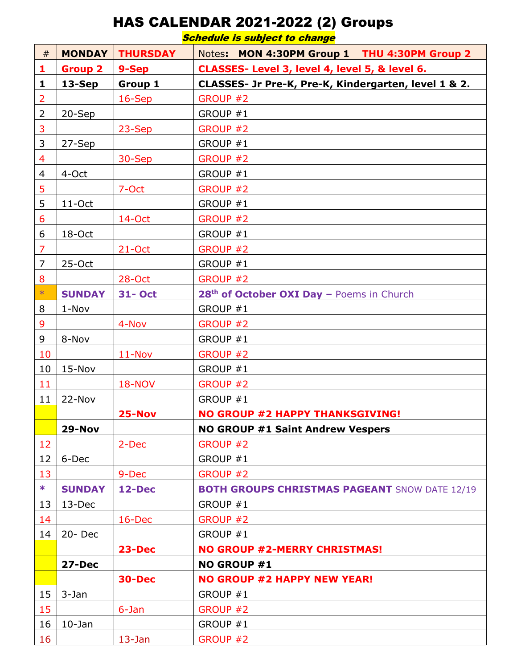## HAS CALENDAR 2021-2022 (2) Groups

Schedule is subject to change

| #              | <b>MONDAY</b>  | <b>THURSDAY</b> | Notes: MON 4:30PM Group 1 THU 4:30PM Group 2          |
|----------------|----------------|-----------------|-------------------------------------------------------|
| 1              | <b>Group 2</b> | 9-Sep           | CLASSES- Level 3, level 4, level 5, & level 6.        |
| 1              | 13-Sep         | Group 1         | CLASSES- Jr Pre-K, Pre-K, Kindergarten, level 1 & 2.  |
| $\overline{2}$ |                | 16-Sep          | GROUP #2                                              |
| $\overline{2}$ | 20-Sep         |                 | GROUP #1                                              |
| 3              |                | 23-Sep          | GROUP #2                                              |
| 3              | 27-Sep         |                 | GROUP #1                                              |
| $\overline{4}$ |                | 30-Sep          | GROUP #2                                              |
| $\overline{4}$ | 4-Oct          |                 | GROUP #1                                              |
| 5              |                | 7-Oct           | GROUP #2                                              |
| 5              | $11$ -Oct      |                 | GROUP #1                                              |
| 6              |                | 14-Oct          | GROUP #2                                              |
| 6              | 18-Oct         |                 | GROUP #1                                              |
| $\overline{7}$ |                | $21$ -Oct       | GROUP #2                                              |
| $\overline{7}$ | $25-Oct$       |                 | GROUP #1                                              |
| 8              |                | 28-Oct          | GROUP #2                                              |
| $\ast$         | <b>SUNDAY</b>  | <b>31- Oct</b>  | 28 <sup>th</sup> of October OXI Day - Poems in Church |
| 8              | 1-Nov          |                 | GROUP #1                                              |
| 9              |                | 4-Nov           | GROUP #2                                              |
| 9              | 8-Nov          |                 | GROUP #1                                              |
| 10             |                | $11-Nov$        | GROUP #2                                              |
| 10             | $15-Nov$       |                 | GROUP #1                                              |
| 11             |                | <b>18-NOV</b>   | GROUP #2                                              |
| 11             | 22-Nov         |                 | GROUP #1                                              |
|                |                | $25-Nov$        | <b>NO GROUP #2 HAPPY THANKSGIVING!</b>                |
|                | 29-Nov         |                 | <b>NO GROUP #1 Saint Andrew Vespers</b>               |
| 12             |                | 2-Dec           | GROUP #2                                              |
| 12             | 6-Dec          |                 | GROUP #1                                              |
| 13             |                | 9-Dec           | GROUP #2                                              |
| $*$            | <b>SUNDAY</b>  | 12-Dec          | <b>BOTH GROUPS CHRISTMAS PAGEANT SNOW DATE 12/19</b>  |
| 13             | 13-Dec         |                 | GROUP #1                                              |
| 14             |                | $16$ -Dec       | GROUP #2                                              |
| 14             | $20 - Dec$     |                 | GROUP #1                                              |
|                |                | <b>23-Dec</b>   | <b>NO GROUP #2-MERRY CHRISTMAS!</b>                   |
|                | 27-Dec         |                 | NO GROUP #1                                           |
|                |                | 30-Dec          | <b>NO GROUP #2 HAPPY NEW YEAR!</b>                    |
| 15             | 3-Jan          |                 | GROUP #1                                              |
| 15             |                | 6-Jan           | GROUP #2                                              |
| 16             | $10-$ Jan      |                 | GROUP #1                                              |
| 16             |                | $13 - Jan$      | GROUP #2                                              |